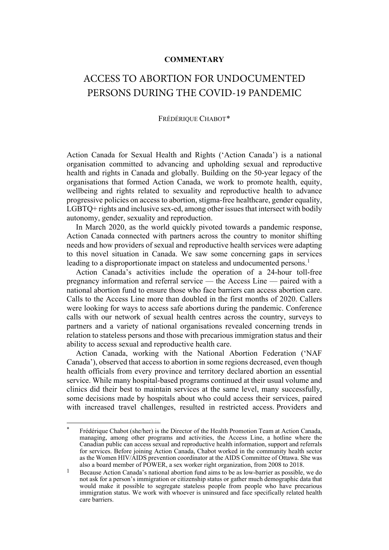## **COMMENTARY**

## ACCESS TO ABORTION FOR UNDOCUMENTED PERSONS DURING THE COVID-19 PANDEMIC

## FRÉDÉRIQUE CHABOT[\\*](#page-0-0)

Action Canada for Sexual Health and Rights ('Action Canada') is a national organisation committed to advancing and upholding sexual and reproductive health and rights in Canada and globally. Building on the 50-year legacy of the organisations that formed Action Canada, we work to promote health, equity, wellbeing and rights related to sexuality and reproductive health to advance progressive policies on access to abortion, stigma-free healthcare, gender equality, LGBTQ+ rights and inclusive sex-ed, among other issues that intersect with bodily autonomy, gender, sexuality and reproduction.

In March 2020, as the world quickly pivoted towards a pandemic response, Action Canada connected with partners across the country to monitor shifting needs and how providers of sexual and reproductive health services were adapting to this novel situation in Canada. We saw some concerning gaps in services leading to a disproportionate impact on stateless and undocumented persons.<sup>[1](#page-0-1)</sup>

Action Canada's activities include the operation of a 24-hour toll-free pregnancy information and referral service — the Access Line — paired with a national abortion fund to ensure those who face barriers can access abortion care. Calls to the Access Line more than doubled in the first months of 2020. Callers were looking for ways to access safe abortions during the pandemic. Conference calls with our network of sexual health centres across the country, surveys to partners and a variety of national organisations revealed concerning trends in relation to stateless persons and those with precarious immigration status and their ability to access sexual and reproductive health care.

Action Canada, working with the National Abortion Federation ('NAF Canada'), observed that access to abortion in some regions decreased, even though health officials from every province and territory declared abortion an essential service. While many hospital-based programs continued at their usual volume and clinics did their best to maintain services at the same level, many successfully, some decisions made by hospitals about who could access their services, paired with increased travel challenges, resulted in restricted access. Providers and

<span id="page-0-0"></span>Frédérique Chabot (she/her) is the Director of the Health Promotion Team at Action Canada, managing, among other programs and activities, the Access Line, a hotline where the Canadian public can access sexual and reproductive health information, support and referrals for services. Before joining Action Canada, Chabot worked in the community health sector as the Women HIV/AIDS prevention coordinator at the AIDS Committee of Ottawa. She was also a board member of POWER, a sex worker right organization, from 2008 to 2018.

<span id="page-0-1"></span><sup>&</sup>lt;sup>1</sup> Because Action Canada's national abortion fund aims to be as low-barrier as possible, we do not ask for a person's immigration or citizenship status or gather much demographic data that would make it possible to segregate stateless people from people who have precarious immigration status. We work with whoever is uninsured and face specifically related health care barriers.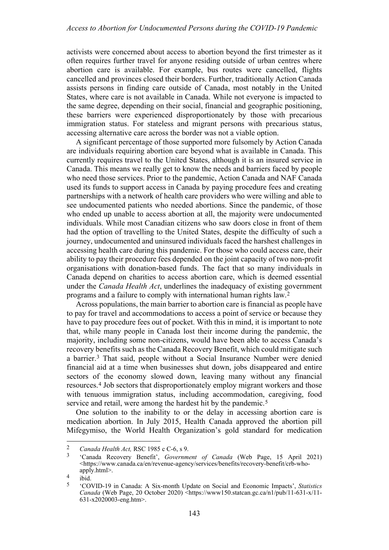activists were concerned about access to abortion beyond the first trimester as it often requires further travel for anyone residing outside of urban centres where abortion care is available. For example, bus routes were cancelled, flights cancelled and provinces closed their borders. Further, traditionally Action Canada assists persons in finding care outside of Canada, most notably in the United States, where care is not available in Canada. While not everyone is impacted to the same degree, depending on their social, financial and geographic positioning, these barriers were experienced disproportionately by those with precarious immigration status. For stateless and migrant persons with precarious status, accessing alternative care across the border was not a viable option.

A significant percentage of those supported more fulsomely by Action Canada are individuals requiring abortion care beyond what is available in Canada. This currently requires travel to the United States, although it is an insured service in Canada. This means we really get to know the needs and barriers faced by people who need those services. Prior to the pandemic, Action Canada and NAF Canada used its funds to support access in Canada by paying procedure fees and creating partnerships with a network of health care providers who were willing and able to see undocumented patients who needed abortions. Since the pandemic, of those who ended up unable to access abortion at all, the majority were undocumented individuals. While most Canadian citizens who saw doors close in front of them had the option of travelling to the United States, despite the difficulty of such a journey, undocumented and uninsured individuals faced the harshest challenges in accessing health care during this pandemic. For those who could access care, their ability to pay their procedure fees depended on the joint capacity of two non-profit organisations with donation-based funds. The fact that so many individuals in Canada depend on charities to access abortion care, which is deemed essential under the *Canada Health Act*, underlines the inadequacy of existing government programs and a failure to comply with international human rights law.[2](#page-1-0)

Across populations, the main barrier to abortion care is financial as people have to pay for travel and accommodations to access a point of service or because they have to pay procedure fees out of pocket. With this in mind, it is important to note that, while many people in Canada lost their income during the pandemic, the majority, including some non-citizens, would have been able to access Canada's recovery benefits such as the Canada Recovery Benefit, which could mitigate such a barrier.[3](#page-1-1) That said, people without a Social Insurance Number were denied financial aid at a time when businesses shut down, jobs disappeared and entire sectors of the economy slowed down, leaving many without any financial resources.[4](#page-1-2) Job sectors that disproportionately employ migrant workers and those with tenuous immigration status, including accommodation, caregiving, food service and retail, were among the hardest hit by the pandemic.<sup>[5](#page-1-3)</sup>

One solution to the inability to or the delay in accessing abortion care is medication abortion. In July 2015, Health Canada approved the abortion pill Mifegymiso, the World Health Organization's gold standard for medication

<span id="page-1-1"></span>

<span id="page-1-0"></span><sup>2</sup> *Canada Health Act,* RSC 1985 c C-6, s 9. 3 'Canada Recovery Benefit', *Government of Canada* (Web Page, 15 April 2021) <https://www.canada.ca/en/revenue-agency/services/benefits/recovery-benefit/crb-whoapply.html>.

<span id="page-1-3"></span><span id="page-1-2"></span> $rac{4}{5}$  ibid.

<sup>5</sup> 'COVID-19 in Canada: A Six-month Update on Social and Economic Impacts', *Statistics Canada* (Web Page, 20 October 2020) <https://www150.statcan.gc.ca/n1/pub/11-631-x/11-631-x2020003-eng.htm>.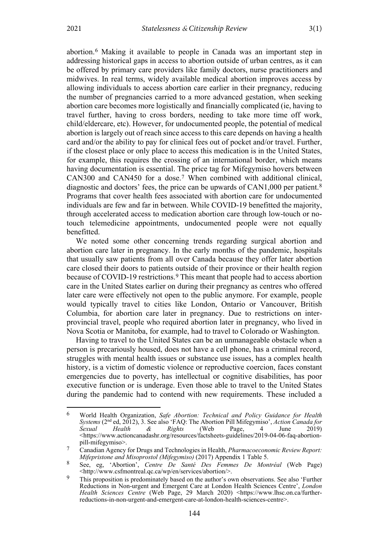abortion.[6](#page-2-0) Making it available to people in Canada was an important step in addressing historical gaps in access to abortion outside of urban centres, as it can be offered by primary care providers like family doctors, nurse practitioners and midwives. In real terms, widely available medical abortion improves access by allowing individuals to access abortion care earlier in their pregnancy, reducing the number of pregnancies carried to a more advanced gestation, when seeking abortion care becomes more logistically and financially complicated (ie, having to travel further, having to cross borders, needing to take more time off work, child/eldercare, etc). However, for undocumented people, the potential of medical abortion is largely out of reach since access to this care depends on having a health card and/or the ability to pay for clinical fees out of pocket and/or travel. Further, if the closest place or only place to access this medication is in the United States, for example, this requires the crossing of an international border, which means having documentation is essential. The price tag for Mifegymiso hovers between CAN300 and CAN450 for a dose.[7](#page-2-1) When combined with additional clinical, diagnostic and doctors' fees, the price can be upwards of CAN1,000 per patient.<sup>[8](#page-2-2)</sup> Programs that cover health fees associated with abortion care for undocumented individuals are few and far in between. While COVID-19 benefitted the majority, through accelerated access to medication abortion care through low-touch or notouch telemedicine appointments, undocumented people were not equally benefitted.

We noted some other concerning trends regarding surgical abortion and abortion care later in pregnancy. In the early months of the pandemic, hospitals that usually saw patients from all over Canada because they offer later abortion care closed their doors to patients outside of their province or their health region because of COVID-19 restrictions.[9](#page-2-3) This meant that people had to access abortion care in the United States earlier on during their pregnancy as centres who offered later care were effectively not open to the public anymore. For example, people would typically travel to cities like London, Ontario or Vancouver, British Columbia, for abortion care later in pregnancy. Due to restrictions on interprovincial travel, people who required abortion later in pregnancy, who lived in Nova Scotia or Manitoba, for example, had to travel to Colorado or Washington.

Having to travel to the United States can be an unmanageable obstacle when a person is precariously housed, does not have a cell phone, has a criminal record, struggles with mental health issues or substance use issues, has a complex health history, is a victim of domestic violence or reproductive coercion, faces constant emergencies due to poverty, has intellectual or cognitive disabilities, has poor executive function or is underage. Even those able to travel to the United States during the pandemic had to contend with new requirements. These included a

<span id="page-2-0"></span><sup>6</sup> World Health Organization, *Safe Abortion: Technical and Policy Guidance for Health Systems* (2<sup>nd</sup> ed, 2012), 3. See also 'FAQ: The Abortion Pill Mifegymiso', *Action Canada for Sexual Health* & *Rights* (Web Page, 4 June 2019) *Sexual Health & Rights* (Web Page, 4 June 2019) [<https://www.actioncanadashr.org/resources/factsheets-guidelines/2019-04-06-faq-abortion](https://www.actioncanadashr.org/resources/factsheets-guidelines/2019-04-06-faq-abortion-pill-mifegymiso)[pill-mifegymiso>](https://www.actioncanadashr.org/resources/factsheets-guidelines/2019-04-06-faq-abortion-pill-mifegymiso).

<span id="page-2-1"></span><sup>7</sup> Canadian Agency for Drugs and Technologies in Health, *Pharmacoeconomic Review Report: Mifepristone and Misoprostol (Mifegymiso)* (2017) Appendix 1 Table 5.

<span id="page-2-2"></span><sup>8</sup> See, eg, 'Abortion', *Centre De Santé Des Femmes De Montréal* (Web Page) <http://www.csfmontreal.qc.ca/wp/en/services/abortion/>.

<span id="page-2-3"></span><sup>&</sup>lt;sup>9</sup> This proposition is predominately based on the author's own observations. See also 'Further Reductions in Non-urgent and Emergent Care at London Health Sciences Centre', *London Health Sciences Centre* (Web Page, 29 March 2020) <https://www.lhsc.on.ca/furtherreductions-in-non-urgent-and-emergent-care-at-london-health-sciences-centre>.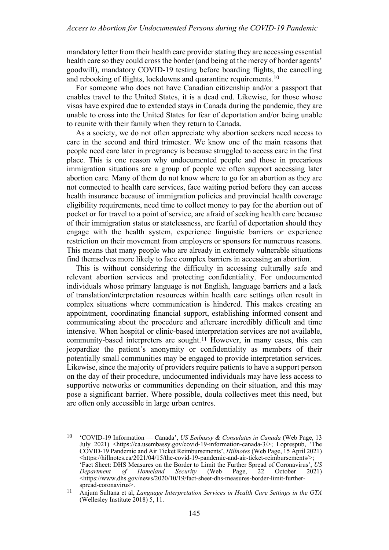mandatory letter from their health care provider stating they are accessing essential health care so they could cross the border (and being at the mercy of border agents' goodwill), mandatory COVID-19 testing before boarding flights, the cancelling and rebooking of flights, lockdowns and quarantine requirements.[10](#page-3-0)

For someone who does not have Canadian citizenship and/or a passport that enables travel to the United States, it is a dead end. Likewise, for those whose visas have expired due to extended stays in Canada during the pandemic, they are unable to cross into the United States for fear of deportation and/or being unable to reunite with their family when they return to Canada.

As a society, we do not often appreciate why abortion seekers need access to care in the second and third trimester. We know one of the main reasons that people need care later in pregnancy is because struggled to access care in the first place. This is one reason why undocumented people and those in precarious immigration situations are a group of people we often support accessing later abortion care. Many of them do not know where to go for an abortion as they are not connected to health care services, face waiting period before they can access health insurance because of immigration policies and provincial health coverage eligibility requirements, need time to collect money to pay for the abortion out of pocket or for travel to a point of service, are afraid of seeking health care because of their immigration status or statelessness, are fearful of deportation should they engage with the health system, experience linguistic barriers or experience restriction on their movement from employers or sponsors for numerous reasons. This means that many people who are already in extremely vulnerable situations find themselves more likely to face complex barriers in accessing an abortion.

This is without considering the difficulty in accessing culturally safe and relevant abortion services and protecting confidentiality. For undocumented individuals whose primary language is not English, language barriers and a lack of translation/interpretation resources within health care settings often result in complex situations where communication is hindered. This makes creating an appointment, coordinating financial support, establishing informed consent and communicating about the procedure and aftercare incredibly difficult and time intensive. When hospital or clinic-based interpretation services are not available, community-based interpreters are sought.<sup>[11](#page-3-1)</sup> However, in many cases, this can jeopardize the patient's anonymity or confidentiality as members of their potentially small communities may be engaged to provide interpretation services. Likewise, since the majority of providers require patients to have a support person on the day of their procedure, undocumented individuals may have less access to supportive networks or communities depending on their situation, and this may pose a significant barrier. Where possible, doula collectives meet this need, but are often only accessible in large urban centres.

<span id="page-3-0"></span><sup>10</sup> 'COVID-19 Information — Canada', *US Embassy & Consulates in Canada* (Web Page, 13 July 2021) [<https://ca.usembassy.gov/covid-19-information-canada-3/>](https://ca.usembassy.gov/covid-19-information-canada-3/); Loprespub, 'The COVID-19 Pandemic and Air Ticket Reimbursements', *Hillnotes* (Web Page, 15 April 2021) <https://hillnotes.ca/2021/04/15/the-covid-19-pandemic-and-air-ticket-reimbursements/>; 'Fact Sheet: DHS Measures on the Border to Limit the Further Spread of Coronavirus', *US Homeland* <https://www.dhs.gov/news/2020/10/19/fact-sheet-dhs-measures-border-limit-furtherspread-coronavirus>.

<span id="page-3-1"></span><sup>11</sup> Anjum Sultana et al, *Language Interpretation Services in Health Care Settings in the GTA* (Wellesley Institute  $2018$ ) 5, 11.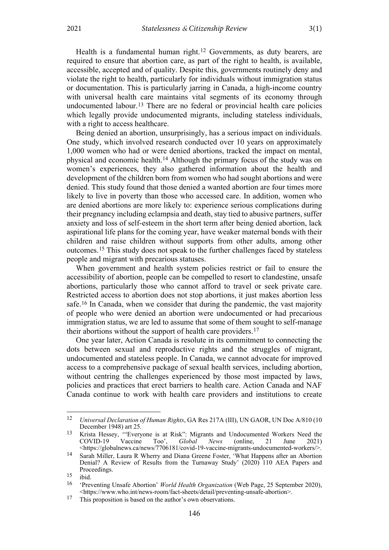Health is a fundamental human right.<sup>[12](#page-4-0)</sup> Governments, as duty bearers, are required to ensure that abortion care, as part of the right to health, is available, accessible, accepted and of quality. Despite this, governments routinely deny and violate the right to health, particularly for individuals without immigration status or documentation. This is particularly jarring in Canada, a high-income country with universal health care maintains vital segments of its economy through undocumented labour.[13](#page-4-1) There are no federal or provincial health care policies which legally provide undocumented migrants, including stateless individuals, with a right to access healthcare.

Being denied an abortion, unsurprisingly, has a serious impact on individuals. One study, which involved research conducted over 10 years on approximately 1,000 women who had or were denied abortions, tracked the impact on mental, physical and economic health.[14](#page-4-2) Although the primary focus of the study was on women's experiences, they also gathered information about the health and development of the children born from women who had sought abortions and were denied. This study found that those denied a wanted abortion are four times more likely to live in poverty than those who accessed care. In addition, women who are denied abortions are more likely to: experience serious complications during their pregnancy including eclampsia and death, stay tied to abusive partners, suffer anxiety and loss of self-esteem in the short term after being denied abortion, lack aspirational life plans for the coming year, have weaker maternal bonds with their children and raise children without supports from other adults, among other outcomes.[15](#page-4-3) This study does not speak to the further challenges faced by stateless people and migrant with precarious statuses.

When government and health system policies restrict or fail to ensure the accessibility of abortion, people can be compelled to resort to clandestine, unsafe abortions, particularly those who cannot afford to travel or seek private care. Restricted access to abortion does not stop abortions, it just makes abortion less safe.[16](#page-4-4) In Canada, when we consider that during the pandemic, the vast majority of people who were denied an abortion were undocumented or had precarious immigration status, we are led to assume that some of them sought to self-manage their abortions without the support of health care providers.[17](#page-4-5)

One year later, Action Canada is resolute in its commitment to connecting the dots between sexual and reproductive rights and the struggles of migrant, undocumented and stateless people. In Canada, we cannot advocate for improved access to a comprehensive package of sexual health services, including abortion, without centring the challenges experienced by those most impacted by laws, policies and practices that erect barriers to health care. Action Canada and NAF Canada continue to work with health care providers and institutions to create

<span id="page-4-0"></span><sup>12</sup> *Universal Declaration of Human Rights*, GA Res 217A (III), UN GAOR, UN Doc A/810 (10 December 1948) art 25.

<span id="page-4-1"></span><sup>&</sup>lt;sup>13</sup> Krista Hessey, "Everyone is at Risk": Migrants and Undocumented Workers Need the COVID-19 Vaccine Too', *Global News* (online, 21 June 2021) COVID-19 Vaccine Too', *Global News* (online, 21 June 2021) <https://globalnews.ca/news/7706181/covid-19-vaccine-migrants-undocumented-workers/>.

<span id="page-4-2"></span><sup>14</sup> Sarah Miller, Laura R Wherry and Diana Greene Foster, 'What Happens after an Abortion Denial? A Review of Results from the Turnaway Study' (2020) 110 AEA Papers and Proceedings.

<span id="page-4-3"></span> $\frac{15}{16}$  ibid.

<span id="page-4-4"></span><sup>16</sup> 'Preventing Unsafe Abortion' *World Health Organization* (Web Page, 25 September 2020), [<https://www.who.int/news-room/fact-sheets/detail/preventing-unsafe-abortion>](https://www.who.int/news-room/fact-sheets/detail/preventing-unsafe-abortion).

<span id="page-4-5"></span><sup>&</sup>lt;sup>17</sup> This proposition is based on the author's own observations.